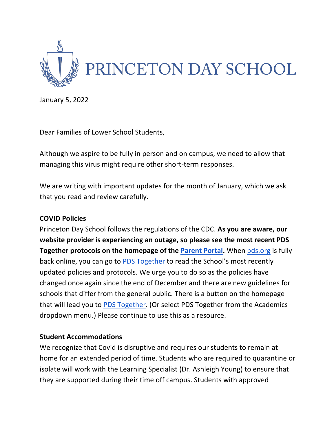

January 5, 2022

Dear Families of Lower School Students,

Although we aspire to be fully in person and on campus, we need to allow that managing this virus might require other short-term responses.

We are writing with important updates for the month of January, which we ask that you read and review carefully.

## **COVID Policies**

Princeton Day School follows the regulations of the CDC. **As you are aware, our website provider is experiencing an outage, so please see the most recent PDS Together protocols on the homepage of the Parent Portal.** When pds.org is fully back online, you can go to PDS Together to read the School's most recently updated policies and protocols. We urge you to do so as the policies have changed once again since the end of December and there are new guidelines for schools that differ from the general public. There is a button on the homepage that will lead you to PDS Together. (Or select PDS Together from the Academics dropdown menu.) Please continue to use this as a resource.

### **Student Accommodations**

We recognize that Covid is disruptive and requires our students to remain at home for an extended period of time. Students who are required to quarantine or isolate will work with the Learning Specialist (Dr. Ashleigh Young) to ensure that they are supported during their time off campus. Students with approved